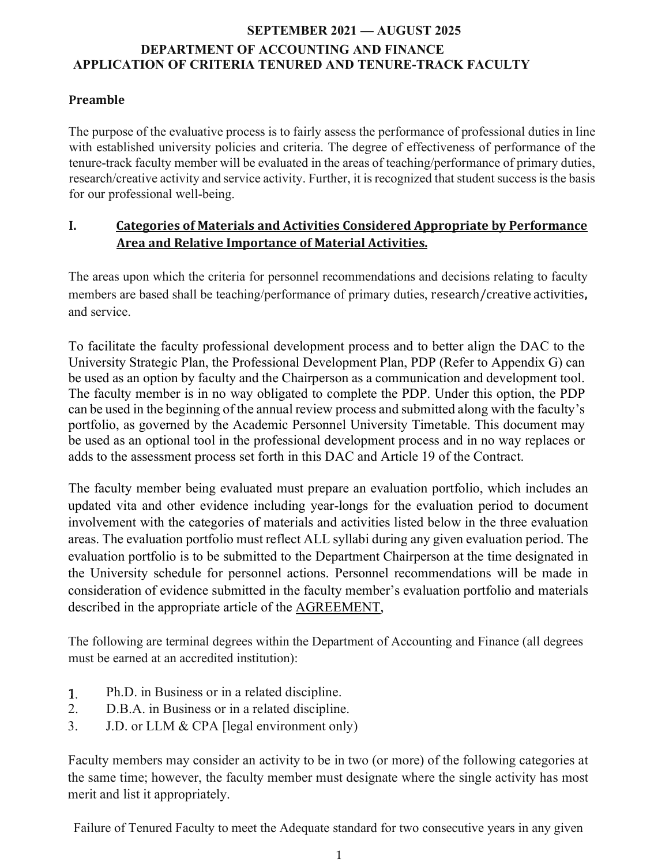### **Preamble**

The purpose of the evaluative process is to fairly assess the performance of professional duties in line with established university policies and criteria. The degree of effectiveness of performance of the tenure-track faculty member will be evaluated in the areas of teaching/performance of primary duties, research/creative activity and service activity. Further, it is recognized that student success is the basis for our professional well-being.

### **I.** Categories of Materials and Activities Considered Appropriate by Performance Area and Relative Importance of Material Activities.

The areas upon which the criteria for personnel recommendations and decisions relating to faculty members are based shall be teaching/performance of primary duties, research/creative activities, and service.

To facilitate the faculty professional development process and to better align the DAC to the University Strategic Plan, the Professional Development Plan, PDP (Refer to Appendix G) can be used as an option by faculty and the Chairperson as a communication and development tool. The faculty member is in no way obligated to complete the PDP. Under this option, the PDP can be used in the beginning of the annual review process and submitted along with the faculty's portfolio, as governed by the Academic Personnel University Timetable. This document may be used as an optional tool in the professional development process and in no way replaces or adds to the assessment process set forth in this DAC and Article 19 of the Contract.

The faculty member being evaluated must prepare an evaluation portfolio, which includes an updated vita and other evidence including year-longs for the evaluation period to document involvement with the categories of materials and activities listed below in the three evaluation areas. The evaluation portfolio must reflect ALL syllabi during any given evaluation period. The evaluation portfolio is to be submitted to the Department Chairperson at the time designated in the University schedule for personnel actions. Personnel recommendations will be made in consideration of evidence submitted in the faculty member's evaluation portfolio and materials described in the appropriate article of the AGREEMENT,

The following are terminal degrees within the Department of Accounting and Finance (all degrees must be earned at an accredited institution):

- Ph.D. in Business or in a related discipline.  $1.$
- 2. D.B.A. in Business or in a related discipline.
- 3. J.D. or LLM & CPA [legal environment only)

Faculty members may consider an activity to be in two (or more) of the following categories at the same time; however, the faculty member must designate where the single activity has most merit and list it appropriately.

Failure of Tenured Faculty to meet the Adequate standard for two consecutive years in any given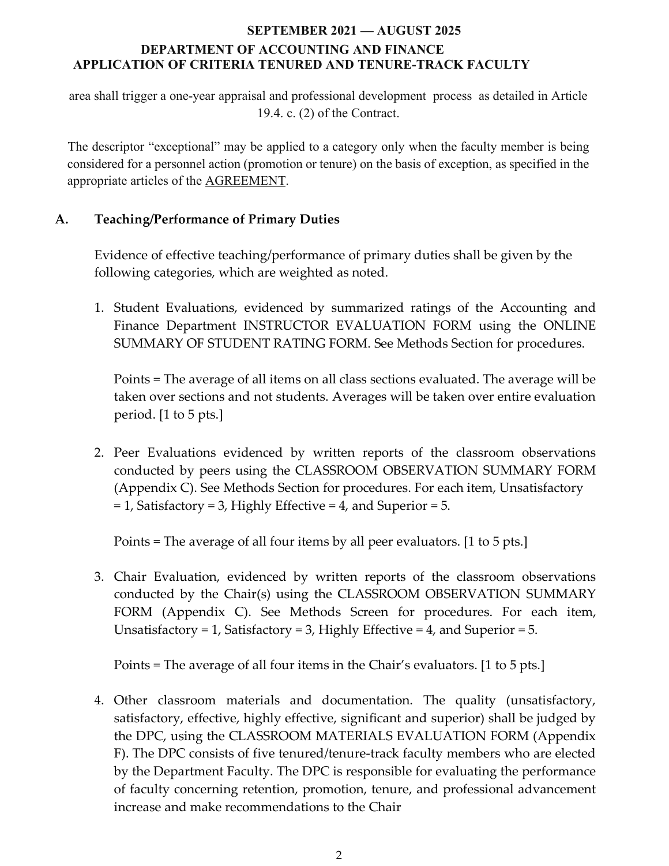area shall trigger a one-year appraisal and professional development process as detailed in Article 19.4. c. (2) of the Contract.

The descriptor "exceptional" may be applied to a category only when the faculty member is being considered for a personnel action (promotion or tenure) on the basis of exception, as specified in the appropriate articles of the AGREEMENT.

## **A. Teaching/Performance of Primary Duties**

Evidence of effective teaching/performance of primary duties shall be given by the following categories, which are weighted as noted.

1. Student Evaluations, evidenced by summarized ratings of the Accounting and Finance Department INSTRUCTOR EVALUATION FORM using the ONLINE SUMMARY OF STUDENT RATING FORM. See Methods Section for procedures.

Points = The average of all items on all class sections evaluated. The average will be taken over sections and not students. Averages will be taken over entire evaluation period. [1 to 5 pts.]

2. Peer Evaluations evidenced by written reports of the classroom observations conducted by peers using the CLASSROOM OBSERVATION SUMMARY FORM (Appendix C). See Methods Section for procedures. For each item, Unsatisfactory = 1, Satisfactory = 3, Highly Effective = 4, and Superior = 5.

Points = The average of all four items by all peer evaluators. [1 to 5 pts.]

3. Chair Evaluation, evidenced by written reports of the classroom observations conducted by the Chair(s) using the CLASSROOM OBSERVATION SUMMARY FORM (Appendix C). See Methods Screen for procedures. For each item, Unsatisfactory = 1, Satisfactory = 3, Highly Effective = 4, and Superior = 5.

Points = The average of all four items in the Chair's evaluators. [1 to 5 pts.]

4. Other classroom materials and documentation. The quality (unsatisfactory, satisfactory, effective, highly effective, significant and superior) shall be judged by the DPC, using the CLASSROOM MATERIALS EVALUATION FORM (Appendix F). The DPC consists of five tenured/tenure-track faculty members who are elected by the Department Faculty. The DPC is responsible for evaluating the performance of faculty concerning retention, promotion, tenure, and professional advancement increase and make recommendations to the Chair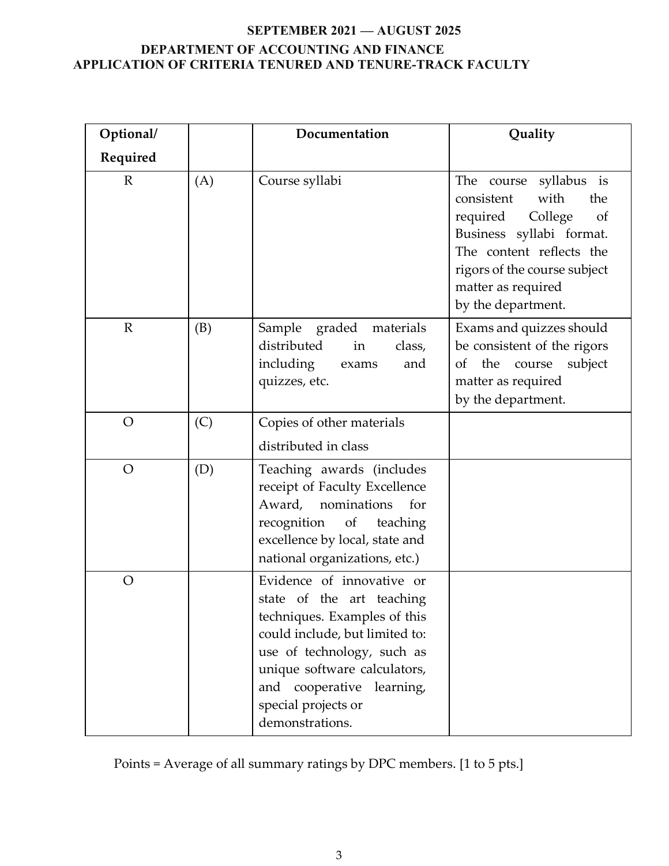| Optional/      |     | Documentation                                                                                                                                                                                                                                                 | Quality                                                                                                                                                                                                              |
|----------------|-----|---------------------------------------------------------------------------------------------------------------------------------------------------------------------------------------------------------------------------------------------------------------|----------------------------------------------------------------------------------------------------------------------------------------------------------------------------------------------------------------------|
| Required       |     |                                                                                                                                                                                                                                                               |                                                                                                                                                                                                                      |
| $\mathbb{R}$   | (A) | Course syllabi                                                                                                                                                                                                                                                | The course syllabus is<br>with<br>consistent<br>the<br>required<br>College<br>of<br>Business syllabi format.<br>The content reflects the<br>rigors of the course subject<br>matter as required<br>by the department. |
| $\mathbb{R}$   | (B) | Sample<br>graded materials<br>distributed<br>in<br>class,<br>including<br>and<br>exams<br>quizzes, etc.                                                                                                                                                       | Exams and quizzes should<br>be consistent of the rigors<br>the<br>subject<br><sub>Of</sub><br>course<br>matter as required<br>by the department.                                                                     |
| $\overline{O}$ | (C) | Copies of other materials<br>distributed in class                                                                                                                                                                                                             |                                                                                                                                                                                                                      |
| $\overline{O}$ | (D) | Teaching awards (includes<br>receipt of Faculty Excellence<br>nominations<br>Award,<br>for<br>recognition<br>of<br>teaching<br>excellence by local, state and<br>national organizations, etc.)                                                                |                                                                                                                                                                                                                      |
| $\overline{O}$ |     | Evidence of innovative or<br>state of the art teaching<br>techniques. Examples of this<br>could include, but limited to:<br>use of technology, such as<br>unique software calculators,<br>and cooperative learning,<br>special projects or<br>demonstrations. |                                                                                                                                                                                                                      |

Points = Average of all summary ratings by DPC members. [1 to 5 pts.]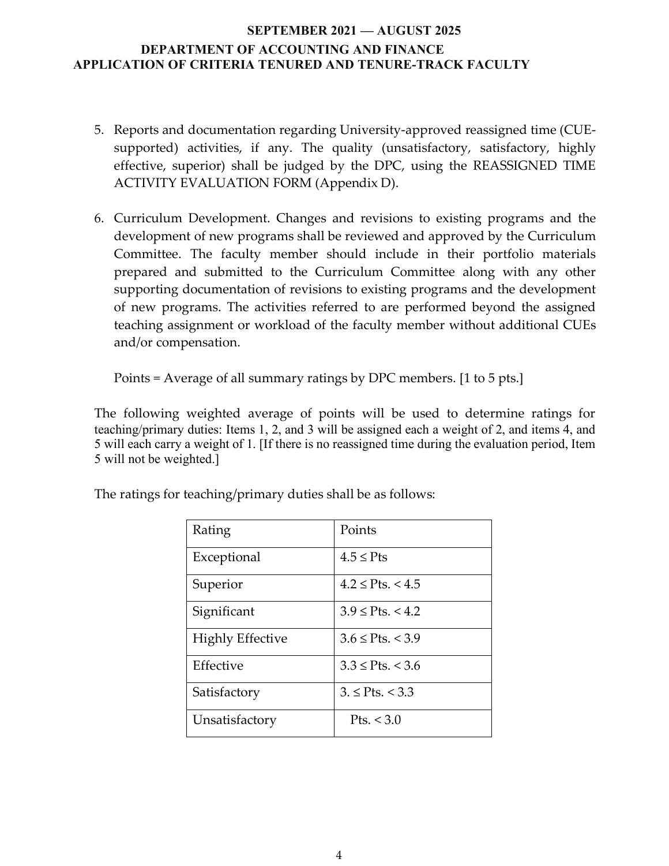- 5. Reports and documentation regarding University-approved reassigned time (CUEsupported) activities, if any. The quality (unsatisfactory, satisfactory, highly effective, superior) shall be judged by the DPC, using the REASSIGNED TIME ACTIVITY EVALUATION FORM (Appendix D).
- 6. Curriculum Development. Changes and revisions to existing programs and the development of new programs shall be reviewed and approved by the Curriculum Committee. The faculty member should include in their portfolio materials prepared and submitted to the Curriculum Committee along with any other supporting documentation of revisions to existing programs and the development of new programs. The activities referred to are performed beyond the assigned teaching assignment or workload of the faculty member without additional CUEs and/or compensation.

Points = Average of all summary ratings by DPC members. [1 to 5 pts.]

The following weighted average of points will be used to determine ratings for teaching/primary duties: Items 1, 2, and 3 will be assigned each a weight of 2, and items 4, and 5 will each carry a weight of 1. [If there is no reassigned time during the evaluation period, Item 5 will not be weighted.]

| Rating                  | Points                    |
|-------------------------|---------------------------|
| Exceptional             | $4.5 \leq P$ ts           |
| Superior                | $4.2 \leq$ Pts. $< 4.5$   |
| Significant             | $3.9 \leq$ Pts. < 4.2     |
| <b>Highly Effective</b> | $3.6 \leq$ Pts. < 3.9     |
| Effective               | $3.3 \leq$ Pts. $\lt$ 3.6 |
| Satisfactory            | $3. \leq$ Pts. $< 3.3$    |
| Unsatisfactory          | Pts. $<$ 3.0              |

The ratings for teaching/primary duties shall be as follows: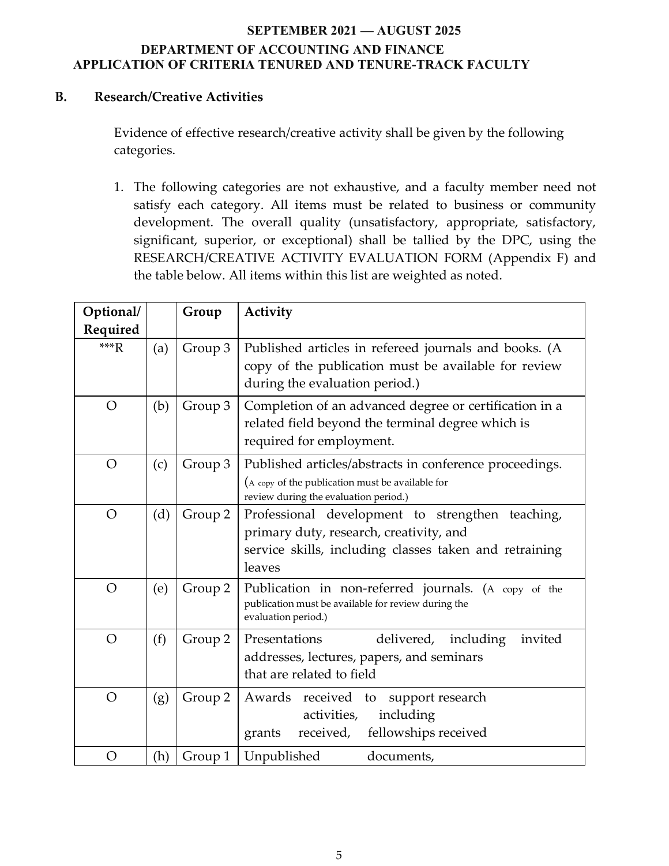### **B. Research/Creative Activities**

Evidence of effective research/creative activity shall be given by the following categories.

1. The following categories are not exhaustive, and a faculty member need not satisfy each category. All items must be related to business or community development. The overall quality (unsatisfactory, appropriate, satisfactory, significant, superior, or exceptional) shall be tallied by the DPC, using the RESEARCH/CREATIVE ACTIVITY EVALUATION FORM (Appendix F) and the table below. All items within this list are weighted as noted.

| Optional/<br>Required |     | Group   | Activity                                                                                                                                                        |
|-----------------------|-----|---------|-----------------------------------------------------------------------------------------------------------------------------------------------------------------|
| $***R$                | (a) | Group 3 | Published articles in refereed journals and books. (A<br>copy of the publication must be available for review<br>during the evaluation period.)                 |
| $\overline{O}$        | (b) | Group 3 | Completion of an advanced degree or certification in a<br>related field beyond the terminal degree which is<br>required for employment.                         |
| $\overline{O}$        | (c) | Group 3 | Published articles/abstracts in conference proceedings.<br>(A copy of the publication must be available for<br>review during the evaluation period.)            |
| $\overline{O}$        | (d) | Group 2 | Professional development to strengthen teaching,<br>primary duty, research, creativity, and<br>service skills, including classes taken and retraining<br>leaves |
| $\overline{O}$        | (e) | Group 2 | Publication in non-referred journals. (A copy of the<br>publication must be available for review during the<br>evaluation period.)                              |
| $\overline{O}$        | (f) | Group 2 | Presentations<br>delivered,<br>including<br>invited<br>addresses, lectures, papers, and seminars<br>that are related to field                                   |
| $\overline{O}$        | (g) | Group 2 | Awards received to support research<br>including<br>activities,<br>fellowships received<br>received,<br>grants                                                  |
| $\overline{O}$        | (h) | Group 1 | Unpublished<br>documents,                                                                                                                                       |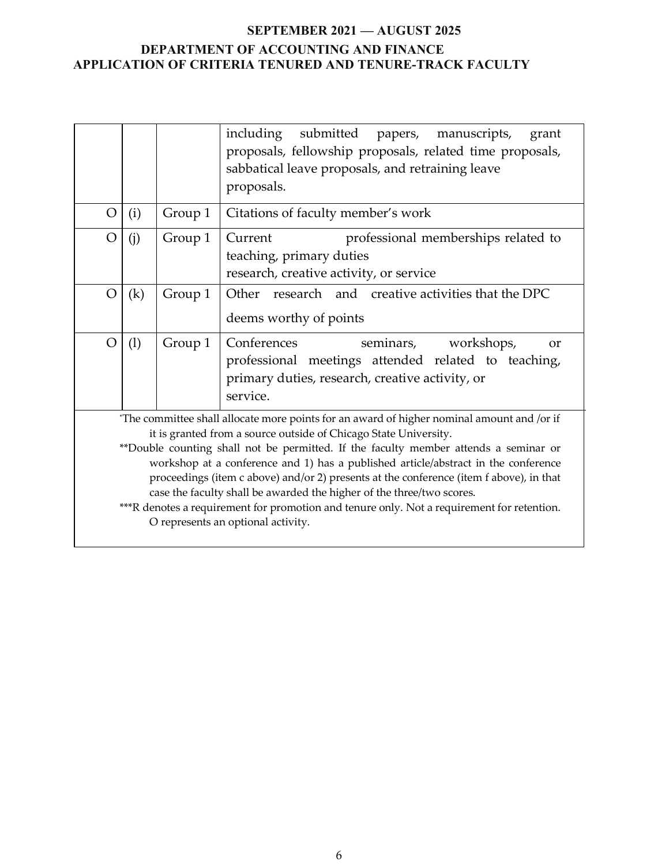|                |     |         | including<br>submitted papers, manuscripts,<br>grant<br>proposals, fellowship proposals, related time proposals,<br>sabbatical leave proposals, and retraining leave<br>proposals.                                                                                                                                                                                                                                                                                                                                                                                                                                                                   |
|----------------|-----|---------|------------------------------------------------------------------------------------------------------------------------------------------------------------------------------------------------------------------------------------------------------------------------------------------------------------------------------------------------------------------------------------------------------------------------------------------------------------------------------------------------------------------------------------------------------------------------------------------------------------------------------------------------------|
| $\overline{O}$ | (i) | Group 1 | Citations of faculty member's work                                                                                                                                                                                                                                                                                                                                                                                                                                                                                                                                                                                                                   |
| $\rm{O}$       | (i) | Group 1 | Current<br>professional memberships related to<br>teaching, primary duties<br>research, creative activity, or service                                                                                                                                                                                                                                                                                                                                                                                                                                                                                                                                |
| $\overline{O}$ | (k) | Group 1 | Other research and creative activities that the DPC<br>deems worthy of points                                                                                                                                                                                                                                                                                                                                                                                                                                                                                                                                                                        |
| $\overline{O}$ | (1) | Group 1 | Conferences<br>seminars,<br>workshops,<br><b>or</b><br>professional meetings attended related to teaching,<br>primary duties, research, creative activity, or<br>service.                                                                                                                                                                                                                                                                                                                                                                                                                                                                            |
|                |     |         | "The committee shall allocate more points for an award of higher nominal amount and /or if<br>it is granted from a source outside of Chicago State University.<br>**Double counting shall not be permitted. If the faculty member attends a seminar or<br>workshop at a conference and 1) has a published article/abstract in the conference<br>proceedings (item c above) and/or 2) presents at the conference (item f above), in that<br>case the faculty shall be awarded the higher of the three/two scores.<br>***R denotes a requirement for promotion and tenure only. Not a requirement for retention.<br>O represents an optional activity. |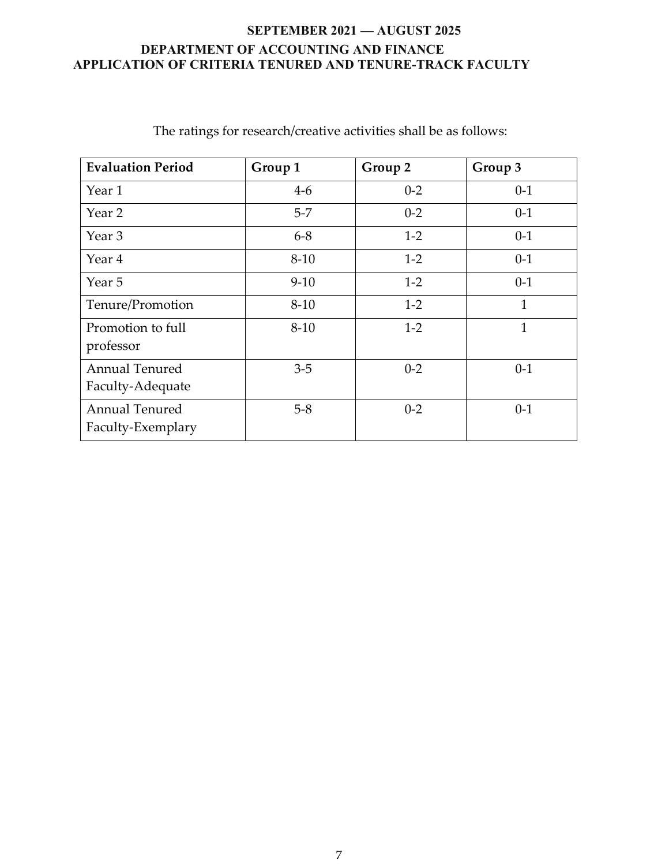| <b>Evaluation Period</b>                   | Group 1  | Group 2 | Group 3      |
|--------------------------------------------|----------|---------|--------------|
| Year 1                                     | $4-6$    | $0 - 2$ | $0 - 1$      |
| Year 2                                     | $5-7$    | $0 - 2$ | $0 - 1$      |
| Year 3                                     | $6 - 8$  | $1-2$   | $0 - 1$      |
| Year 4                                     | $8 - 10$ | $1-2$   | $0 - 1$      |
| Year 5                                     | $9-10$   | $1-2$   | $0-1$        |
| Tenure/Promotion                           | $8 - 10$ | $1-2$   | $\mathbf{1}$ |
| Promotion to full<br>professor             | $8 - 10$ | $1 - 2$ | 1            |
| <b>Annual Tenured</b><br>Faculty-Adequate  | $3-5$    | $0 - 2$ | $0 - 1$      |
| <b>Annual Tenured</b><br>Faculty-Exemplary | $5 - 8$  | $0 - 2$ | $0 - 1$      |

The ratings for research/creative activities shall be as follows: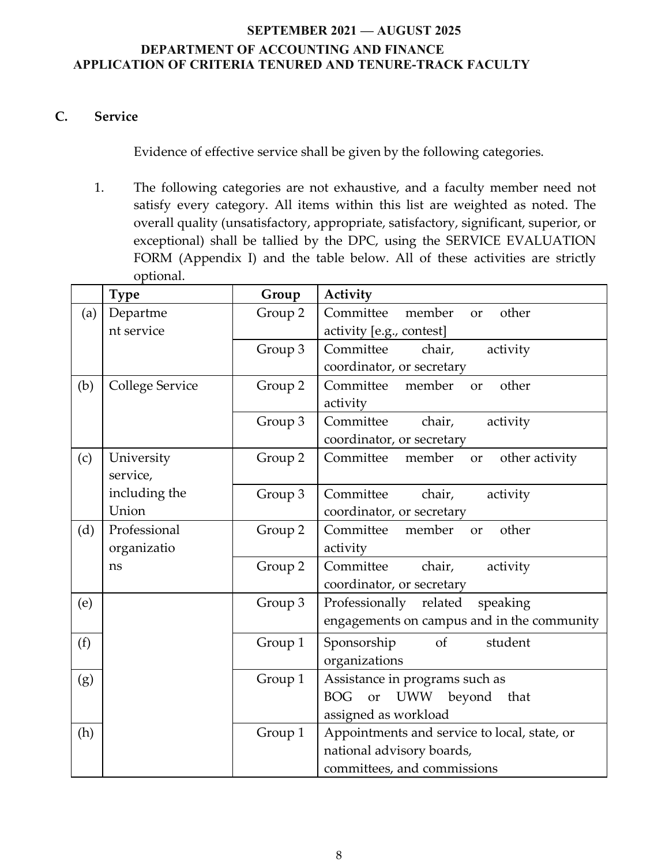### **C. Service**

Evidence of effective service shall be given by the following categories.

1. The following categories are not exhaustive, and a faculty member need not satisfy every category. All items within this list are weighted as noted. The overall quality (unsatisfactory, appropriate, satisfactory, significant, superior, or exceptional) shall be tallied by the DPC, using the SERVICE EVALUATION FORM (Appendix I) and the table below. All of these activities are strictly optional.

|     | <b>Type</b>            | Group   | Activity                                                |
|-----|------------------------|---------|---------------------------------------------------------|
| (a) | Departme               | Group 2 | Committee<br>member<br>other<br>or                      |
|     | nt service             |         | activity [e.g., contest]                                |
|     |                        | Group 3 | Committee<br>chair,<br>activity                         |
|     |                        |         | coordinator, or secretary                               |
| (b) | <b>College Service</b> | Group 2 | Committee<br>member<br>other<br><b>or</b>               |
|     |                        |         | activity                                                |
|     |                        | Group 3 | Committee<br>chair,<br>activity                         |
|     |                        |         | coordinator, or secretary                               |
| (c) | University             | Group 2 | Committee<br>other activity<br>member<br>or             |
|     | service,               |         |                                                         |
|     | including the          | Group 3 | chair,<br>Committee<br>activity                         |
|     | Union                  |         | coordinator, or secretary                               |
| (d) | Professional           | Group 2 | member<br>other<br>Committee<br>or                      |
|     | organizatio            |         | activity                                                |
|     | ns                     | Group 2 | Committee<br>chair,<br>activity                         |
|     |                        |         | coordinator, or secretary                               |
| (e) |                        | Group 3 | Professionally<br>speaking<br>related                   |
|     |                        |         | engagements on campus and in the community              |
| (f) |                        | Group 1 | <sub>of</sub><br>student<br>Sponsorship                 |
|     |                        |         | organizations                                           |
| (g) |                        | Group 1 | Assistance in programs such as                          |
|     |                        |         | <b>BOG</b><br><b>UWW</b><br>beyond<br><b>or</b><br>that |
|     |                        |         | assigned as workload                                    |
| (h) |                        | Group 1 | Appointments and service to local, state, or            |
|     |                        |         | national advisory boards,                               |
|     |                        |         | committees, and commissions                             |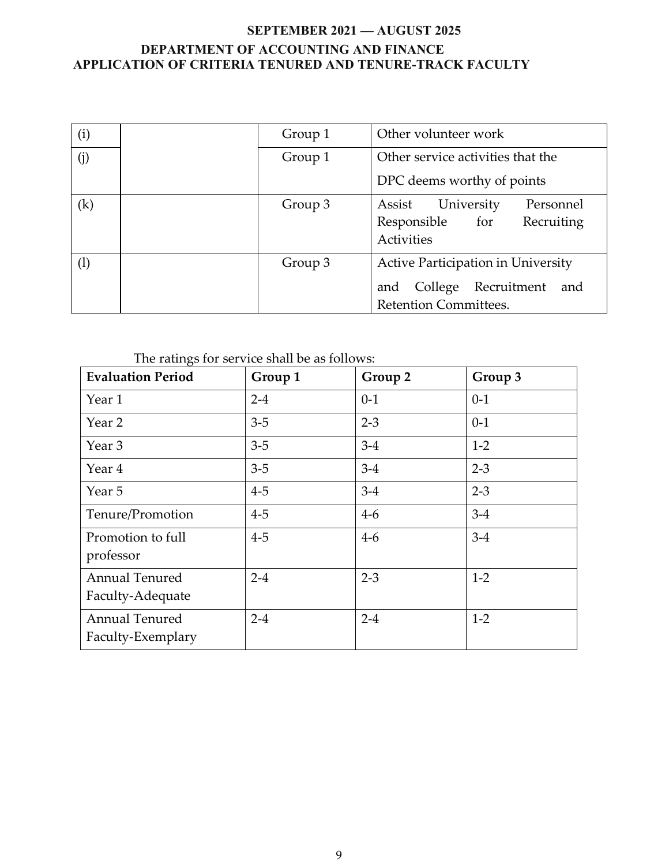| (i)               | Group 1 | Other volunteer work                                                                                       |  |
|-------------------|---------|------------------------------------------------------------------------------------------------------------|--|
| (j)               | Group 1 | Other service activities that the                                                                          |  |
|                   |         | DPC deems worthy of points                                                                                 |  |
| $\left( k\right)$ | Group 3 | University<br>Personnel<br>Assist<br>Responsible for<br>Recruiting<br>Activities                           |  |
| $\left(1\right)$  | Group 3 | Active Participation in University<br>College<br>Recruitment<br>and<br>and<br><b>Retention Committees.</b> |  |

The ratings for service shall be as follows:

| <b>Evaluation Period</b>                   | Group 1 | Group 2 | Group 3 |
|--------------------------------------------|---------|---------|---------|
| Year 1                                     | $2 - 4$ | $0-1$   | $0-1$   |
| Year 2                                     | $3 - 5$ | $2 - 3$ | $0-1$   |
| Year 3                                     | $3 - 5$ | $3-4$   | $1 - 2$ |
| Year 4                                     | $3 - 5$ | $3 - 4$ | $2 - 3$ |
| Year 5                                     | $4-5$   | $3-4$   | $2 - 3$ |
| Tenure/Promotion                           | $4 - 5$ | $4-6$   | $3 - 4$ |
| Promotion to full<br>professor             | $4 - 5$ | $4-6$   | $3 - 4$ |
| <b>Annual Tenured</b><br>Faculty-Adequate  | $2 - 4$ | $2 - 3$ | $1 - 2$ |
| <b>Annual Tenured</b><br>Faculty-Exemplary | $2 - 4$ | $2 - 4$ | $1 - 2$ |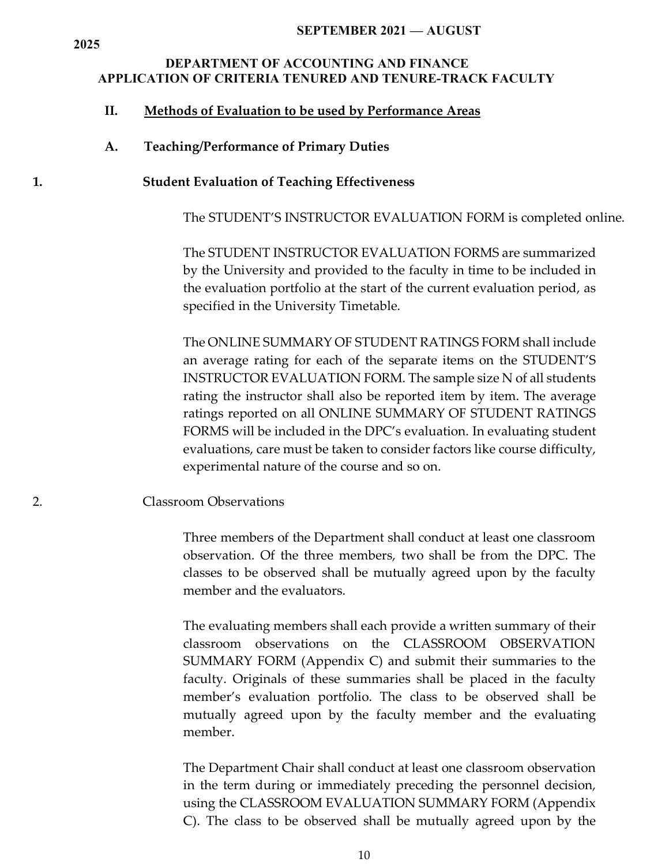#### **SEPTEMBER 2021 — AUGUST**

### **DEPARTMENT OF ACCOUNTING AND FINANCE APPLICATION OF CRITERIA TENURED AND TENURE-TRACK FACULTY**

#### **II. Methods of Evaluation to be used by Performance Areas**

#### **A. Teaching/Performance of Primary Duties**

#### **1. Student Evaluation of Teaching Effectiveness**

The STUDENT'S INSTRUCTOR EVALUATION FORM is completed online.

The STUDENT INSTRUCTOR EVALUATION FORMS are summarized by the University and provided to the faculty in time to be included in the evaluation portfolio at the start of the current evaluation period, as specified in the University Timetable.

The ONLINE SUMMARY OF STUDENT RATINGS FORM shall include an average rating for each of the separate items on the STUDENT'S INSTRUCTOR EVALUATION FORM. The sample size N of all students rating the instructor shall also be reported item by item. The average ratings reported on all ONLINE SUMMARY OF STUDENT RATINGS FORMS will be included in the DPC's evaluation. In evaluating student evaluations, care must be taken to consider factors like course difficulty, experimental nature of the course and so on.

#### 2. Classroom Observations

Three members of the Department shall conduct at least one classroom observation. Of the three members, two shall be from the DPC. The classes to be observed shall be mutually agreed upon by the faculty member and the evaluators.

The evaluating members shall each provide a written summary of their classroom observations on the CLASSROOM OBSERVATION SUMMARY FORM (Appendix C) and submit their summaries to the faculty. Originals of these summaries shall be placed in the faculty member's evaluation portfolio. The class to be observed shall be mutually agreed upon by the faculty member and the evaluating member.

The Department Chair shall conduct at least one classroom observation in the term during or immediately preceding the personnel decision, using the CLASSROOM EVALUATION SUMMARY FORM (Appendix C). The class to be observed shall be mutually agreed upon by the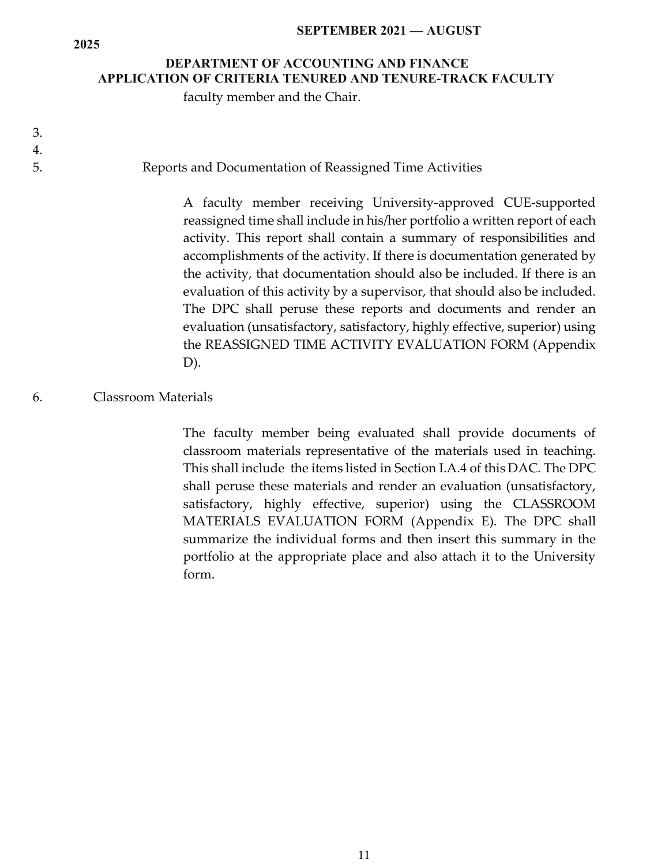#### **SEPTEMBER 2021 — AUGUST**

## **DEPARTMENT OF ACCOUNTING AND FINANCE APPLICATION OF CRITERIA TENURED AND TENURE-TRACK FACULTY**

faculty member and the Chair.

3. 4.

**2025**

### 5. Reports and Documentation of Reassigned Time Activities

A faculty member receiving University-approved CUE-supported reassigned time shall include in his/her portfolio a written report of each activity. This report shall contain a summary of responsibilities and accomplishments of the activity. If there is documentation generated by the activity, that documentation should also be included. If there is an evaluation of this activity by a supervisor, that should also be included. The DPC shall peruse these reports and documents and render an evaluation (unsatisfactory, satisfactory, highly effective, superior) using the REASSIGNED TIME ACTIVITY EVALUATION FORM (Appendix D).

### 6. Classroom Materials

The faculty member being evaluated shall provide documents of classroom materials representative of the materials used in teaching. This shall include the items listed in Section I.A.4 of this DAC. The DPC shall peruse these materials and render an evaluation (unsatisfactory, satisfactory, highly effective, superior) using the CLASSROOM MATERIALS EVALUATION FORM (Appendix E). The DPC shall summarize the individual forms and then insert this summary in the portfolio at the appropriate place and also attach it to the University form.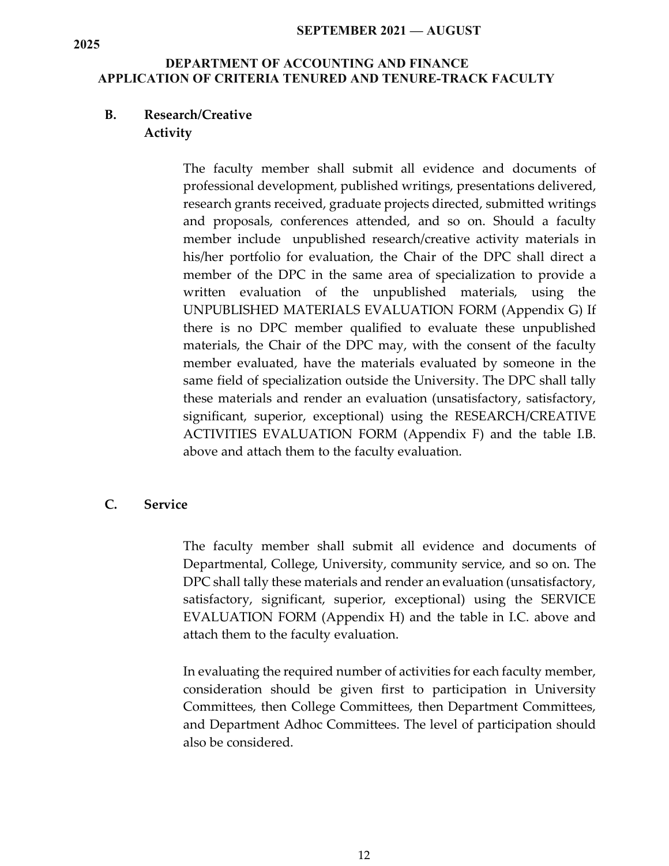#### **SEPTEMBER 2021 — AUGUST**

### **DEPARTMENT OF ACCOUNTING AND FINANCE APPLICATION OF CRITERIA TENURED AND TENURE-TRACK FACULTY**

### **B. Research/Creative Activity**

The faculty member shall submit all evidence and documents of professional development, published writings, presentations delivered, research grants received, graduate projects directed, submitted writings and proposals, conferences attended, and so on. Should a faculty member include unpublished research/creative activity materials in his/her portfolio for evaluation, the Chair of the DPC shall direct a member of the DPC in the same area of specialization to provide a written evaluation of the unpublished materials, using the UNPUBLISHED MATERIALS EVALUATION FORM (Appendix G) If there is no DPC member qualified to evaluate these unpublished materials, the Chair of the DPC may, with the consent of the faculty member evaluated, have the materials evaluated by someone in the same field of specialization outside the University. The DPC shall tally these materials and render an evaluation (unsatisfactory, satisfactory, significant, superior, exceptional) using the RESEARCH/CREATIVE ACTIVITIES EVALUATION FORM (Appendix F) and the table I.B. above and attach them to the faculty evaluation.

### **C. Service**

The faculty member shall submit all evidence and documents of Departmental, College, University, community service, and so on. The DPC shall tally these materials and render an evaluation (unsatisfactory, satisfactory, significant, superior, exceptional) using the SERVICE EVALUATION FORM (Appendix H) and the table in I.C. above and attach them to the faculty evaluation.

In evaluating the required number of activities for each faculty member, consideration should be given first to participation in University Committees, then College Committees, then Department Committees, and Department Adhoc Committees. The level of participation should also be considered.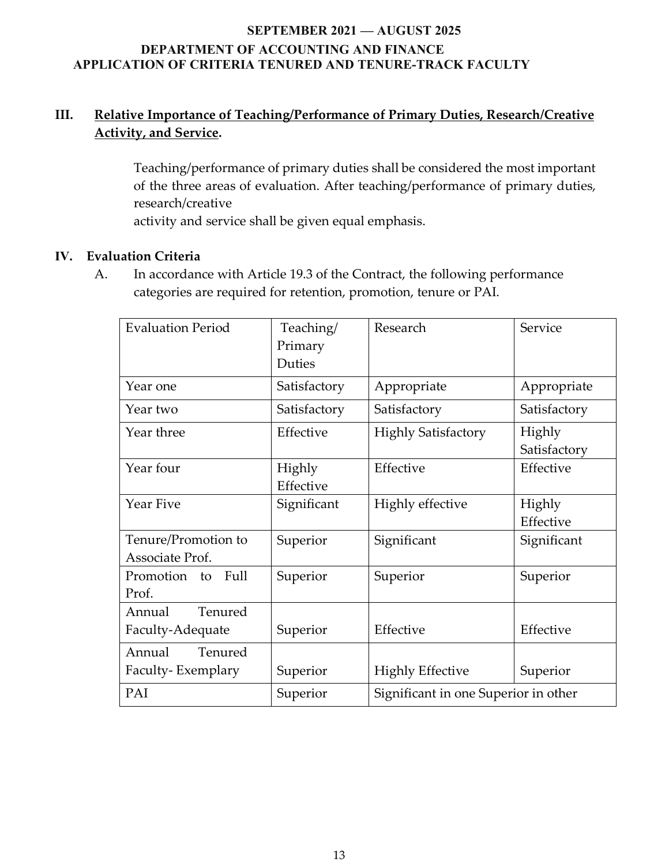## **III. Relative Importance of Teaching/Performance of Primary Duties, Research/Creative Activity, and Service.**

Teaching/performance of primary duties shall be considered the most important of the three areas of evaluation. After teaching/performance of primary duties, research/creative

activity and service shall be given equal emphasis.

## **IV. Evaluation Criteria**

A. In accordance with Article 19.3 of the Contract, the following performance categories are required for retention, promotion, tenure or PAI.

| <b>Evaluation Period</b>               | Teaching/<br>Primary<br>Duties | Research                             | Service                |
|----------------------------------------|--------------------------------|--------------------------------------|------------------------|
| Year one                               | Satisfactory                   | Appropriate                          | Appropriate            |
| Year two                               | Satisfactory                   | Satisfactory                         | Satisfactory           |
| Year three                             | Effective                      | <b>Highly Satisfactory</b>           | Highly<br>Satisfactory |
| Year four                              | Highly<br>Effective            | Effective                            | Effective              |
| Year Five                              | Significant                    | Highly effective                     | Highly<br>Effective    |
| Tenure/Promotion to<br>Associate Prof. | Superior                       | Significant                          | Significant            |
| Promotion to Full<br>Prof.             | Superior                       | Superior                             | Superior               |
| Tenured<br>Annual<br>Faculty-Adequate  | Superior                       | Effective                            | Effective              |
| Tenured<br>Annual<br>Faculty-Exemplary | Superior                       | <b>Highly Effective</b>              | Superior               |
| PAI                                    | Superior                       | Significant in one Superior in other |                        |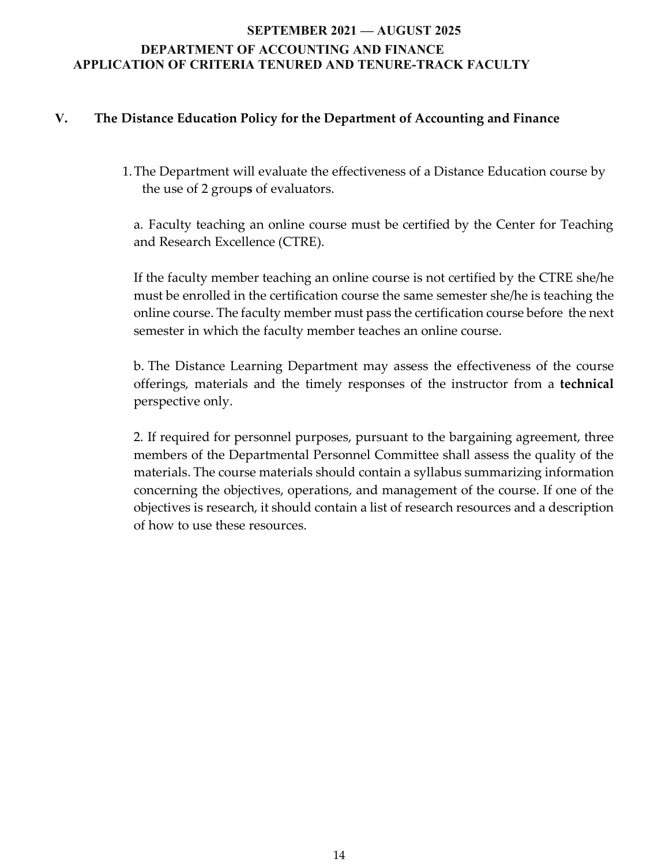### **V. The Distance Education Policy for the Department of Accounting and Finance**

1.The Department will evaluate the effectiveness of a Distance Education course by the use of 2 group**s** of evaluators.

a. Faculty teaching an online course must be certified by the Center for Teaching and Research Excellence (CTRE).

If the faculty member teaching an online course is not certified by the CTRE she/he must be enrolled in the certification course the same semester she/he is teaching the online course. The faculty member must pass the certification course before the next semester in which the faculty member teaches an online course.

b. The Distance Learning Department may assess the effectiveness of the course offerings, materials and the timely responses of the instructor from a **technical**  perspective only.

2. If required for personnel purposes, pursuant to the bargaining agreement, three members of the Departmental Personnel Committee shall assess the quality of the materials. The course materials should contain a syllabus summarizing information concerning the objectives, operations, and management of the course. If one of the objectives is research, it should contain a list of research resources and a description of how to use these resources.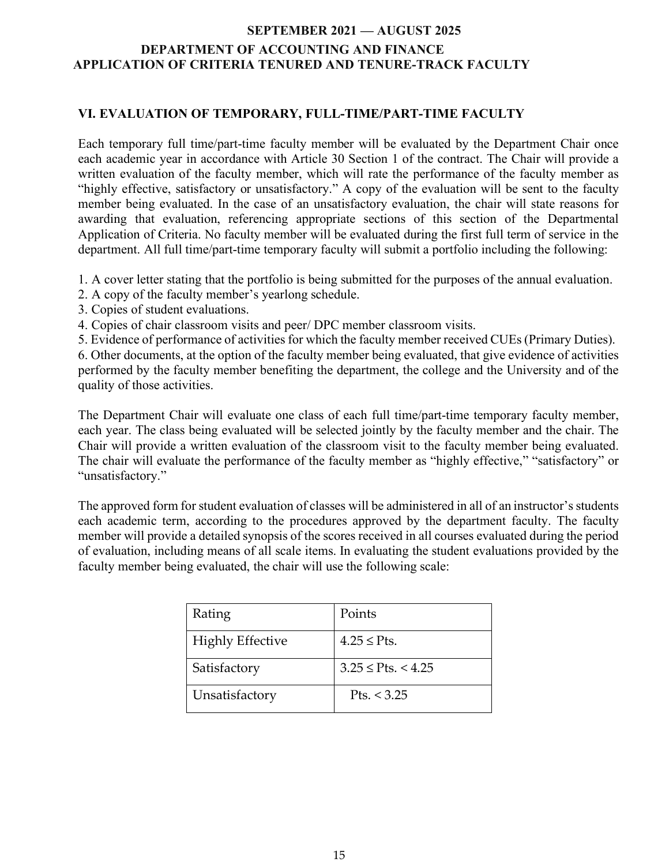### **VI. EVALUATION OF TEMPORARY, FULL-TIME/PART-TIME FACULTY**

Each temporary full time/part-time faculty member will be evaluated by the Department Chair once each academic year in accordance with Article 30 Section 1 of the contract. The Chair will provide a written evaluation of the faculty member, which will rate the performance of the faculty member as "highly effective, satisfactory or unsatisfactory." A copy of the evaluation will be sent to the faculty member being evaluated. In the case of an unsatisfactory evaluation, the chair will state reasons for awarding that evaluation, referencing appropriate sections of this section of the Departmental Application of Criteria. No faculty member will be evaluated during the first full term of service in the department. All full time/part-time temporary faculty will submit a portfolio including the following:

1. A cover letter stating that the portfolio is being submitted for the purposes of the annual evaluation.

- 2. A copy of the faculty member's yearlong schedule.
- 3. Copies of student evaluations.
- 4. Copies of chair classroom visits and peer/ DPC member classroom visits.

5. Evidence of performance of activities for which the faculty member received CUEs(Primary Duties).

6. Other documents, at the option of the faculty member being evaluated, that give evidence of activities performed by the faculty member benefiting the department, the college and the University and of the quality of those activities.

The Department Chair will evaluate one class of each full time/part-time temporary faculty member, each year. The class being evaluated will be selected jointly by the faculty member and the chair. The Chair will provide a written evaluation of the classroom visit to the faculty member being evaluated. The chair will evaluate the performance of the faculty member as "highly effective," "satisfactory" or "unsatisfactory."

The approved form for student evaluation of classes will be administered in all of an instructor's students each academic term, according to the procedures approved by the department faculty. The faculty member will provide a detailed synopsis of the scores received in all courses evaluated during the period of evaluation, including means of all scale items. In evaluating the student evaluations provided by the faculty member being evaluated, the chair will use the following scale:

| Rating                  | Points                  |
|-------------------------|-------------------------|
| <b>Highly Effective</b> | $4.25 <$ Pts.           |
| Satisfactory            | $3.25 \leq$ Pts. < 4.25 |
| Unsatisfactory          | Pts. < 3.25             |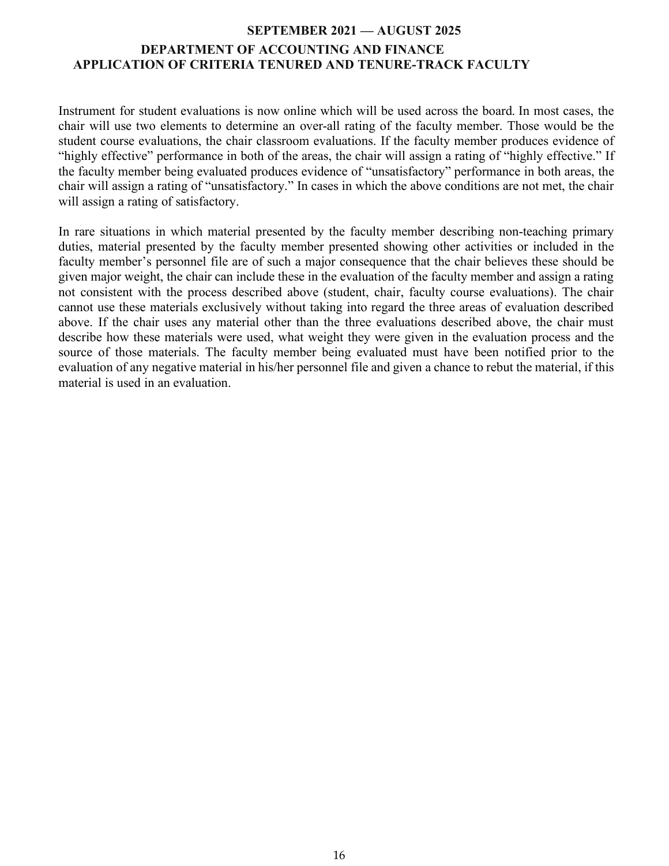Instrument for student evaluations is now online which will be used across the board. In most cases, the chair will use two elements to determine an over-all rating of the faculty member. Those would be the student course evaluations, the chair classroom evaluations. If the faculty member produces evidence of "highly effective" performance in both of the areas, the chair will assign a rating of "highly effective." If the faculty member being evaluated produces evidence of "unsatisfactory" performance in both areas, the chair will assign a rating of "unsatisfactory." In cases in which the above conditions are not met, the chair will assign a rating of satisfactory.

In rare situations in which material presented by the faculty member describing non-teaching primary duties, material presented by the faculty member presented showing other activities or included in the faculty member's personnel file are of such a major consequence that the chair believes these should be given major weight, the chair can include these in the evaluation of the faculty member and assign a rating not consistent with the process described above (student, chair, faculty course evaluations). The chair cannot use these materials exclusively without taking into regard the three areas of evaluation described above. If the chair uses any material other than the three evaluations described above, the chair must describe how these materials were used, what weight they were given in the evaluation process and the source of those materials. The faculty member being evaluated must have been notified prior to the evaluation of any negative material in his/her personnel file and given a chance to rebut the material, if this material is used in an evaluation.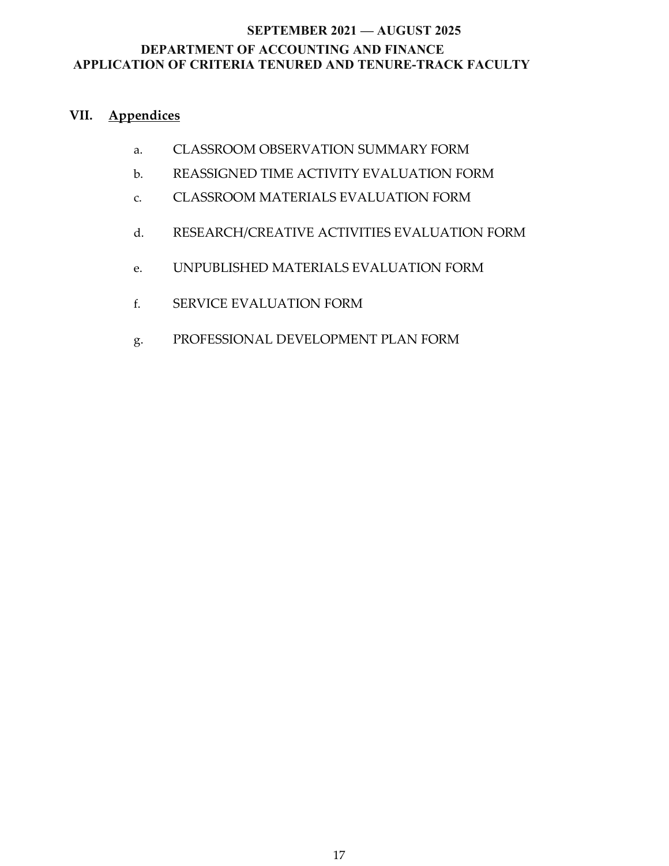## **VII. Appendices**

- a. CLASSROOM OBSERVATION SUMMARY FORM
- b. REASSIGNED TIME ACTIVITY EVALUATION FORM
- c. CLASSROOM MATERIALS EVALUATION FORM
- d. RESEARCH/CREATIVE ACTIVITIES EVALUATION FORM
- e. UNPUBLISHED MATERIALS EVALUATION FORM
- f. SERVICE EVALUATION FORM
- g. PROFESSIONAL DEVELOPMENT PLAN FORM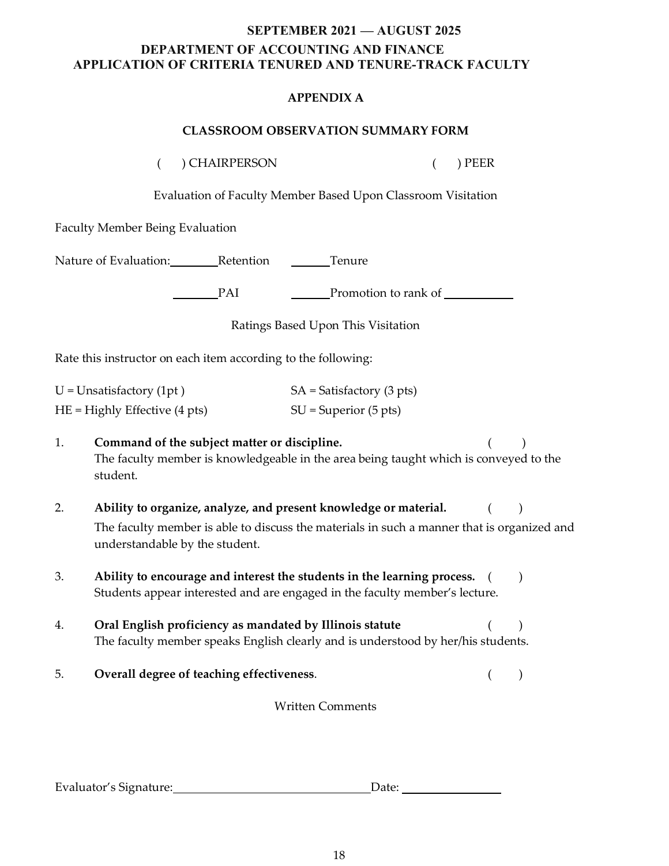#### **APPENDIX A**

#### **CLASSROOM OBSERVATION SUMMARY FORM**

( ) CHAIRPERSON ( ) PEER

Evaluation of Faculty Member Based Upon Classroom Visitation

Faculty Member Being Evaluation

Nature of Evaluation: Retention Tenure

PAI Promotion to rank of

Ratings Based Upon This Visitation

Rate this instructor on each item according to the following:

| $U =$ Unsatisfactory (1pt)      | $SA = Satisfactory (3 pts)$ |
|---------------------------------|-----------------------------|
| $HE =$ Highly Effective (4 pts) | $SU =$ Superior (5 pts)     |

| Command of the subject matter or discipline.                                          |  |
|---------------------------------------------------------------------------------------|--|
| The faculty member is knowledgeable in the area being taught which is conveyed to the |  |
| student.                                                                              |  |

- 2. **Ability to organize, analyze, and present knowledge or material.** ( ) The faculty member is able to discuss the materials in such a manner that is organized and understandable by the student.
- 3. **Ability to encourage and interest the students in the learning process.** ( ) Students appear interested and are engaged in the faculty member's lecture.
- 4. **Oral English proficiency as mandated by Illinois statute** ( ) The faculty member speaks English clearly and is understood by her/his students.
- 5. **Overall degree of teaching effectiveness**. ( )

Written Comments

| Evaluator's Signature: | Date: |  |
|------------------------|-------|--|
|                        |       |  |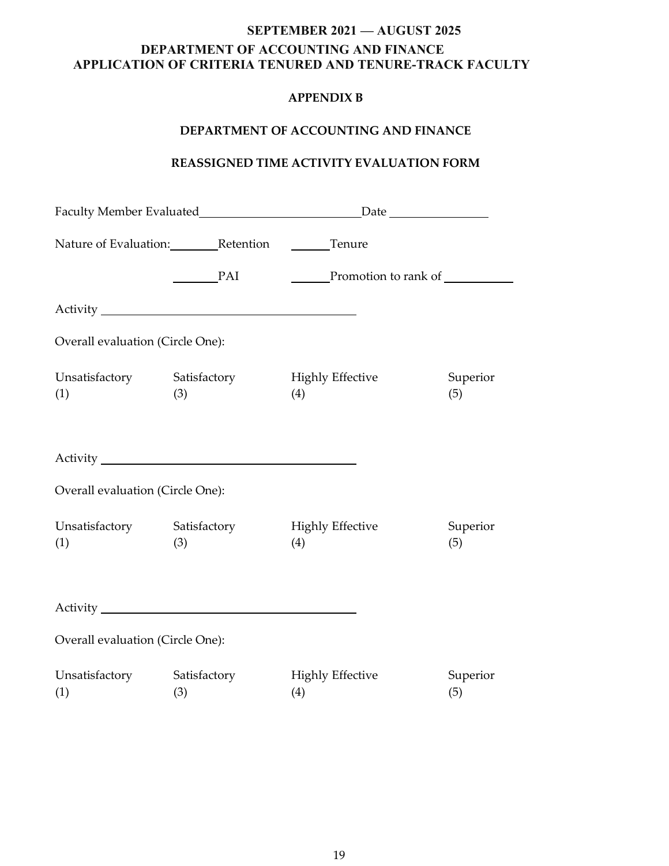### **APPENDIX B**

#### **DEPARTMENT OF ACCOUNTING AND FINANCE**

### **REASSIGNED TIME ACTIVITY EVALUATION FORM**

|                                    | Nature of Evaluation: Retention Clear Tenure |                                |                 |
|------------------------------------|----------------------------------------------|--------------------------------|-----------------|
|                                    | PAI                                          |                                |                 |
|                                    |                                              |                                |                 |
| Overall evaluation (Circle One):   |                                              |                                |                 |
| Unsatisfactory Satisfactory<br>(1) | (3)                                          | <b>Highly Effective</b><br>(4) | Superior<br>(5) |
|                                    |                                              |                                |                 |
| Overall evaluation (Circle One):   |                                              |                                |                 |
| Unsatisfactory Satisfactory<br>(1) | (3)                                          | <b>Highly Effective</b><br>(4) | Superior<br>(5) |
|                                    |                                              |                                |                 |
| Overall evaluation (Circle One):   |                                              |                                |                 |
| Unsatisfactory Satisfactory<br>(1) | (3)                                          | <b>Highly Effective</b><br>(4) | Superior<br>(5) |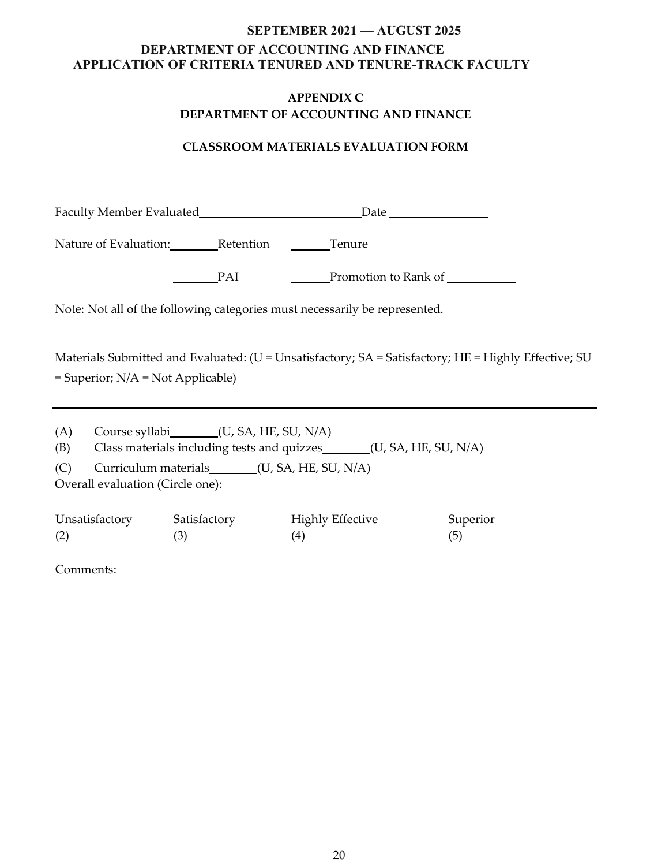### **APPENDIX C DEPARTMENT OF ACCOUNTING AND FINANCE**

### **CLASSROOM MATERIALS EVALUATION FORM**

| Nature of Evaluation: Retention Clear Tenure                                                                                        |                                      |                                                                                                      |                 |
|-------------------------------------------------------------------------------------------------------------------------------------|--------------------------------------|------------------------------------------------------------------------------------------------------|-----------------|
|                                                                                                                                     |                                      | PAI Promotion to Rank of                                                                             |                 |
|                                                                                                                                     |                                      | Note: Not all of the following categories must necessarily be represented.                           |                 |
| $=$ Superior; $N/A = Not$ Applicable)                                                                                               |                                      | Materials Submitted and Evaluated: (U = Unsatisfactory; SA = Satisfactory; HE = Highly Effective; SU |                 |
| Course syllabi________(U, SA, HE, SU, N/A)<br>(A)<br>Class materials including tests and quizzes________(U, SA, HE, SU, N/A)<br>(B) |                                      |                                                                                                      |                 |
| Curriculum materials________(U, SA, HE, SU, N/A)<br>(C)<br>Overall evaluation (Circle one):                                         |                                      |                                                                                                      |                 |
| Unsatisfactory<br>(2)                                                                                                               | Satisfactory Highly Effective<br>(3) | (4)                                                                                                  | Superior<br>(5) |

Comments: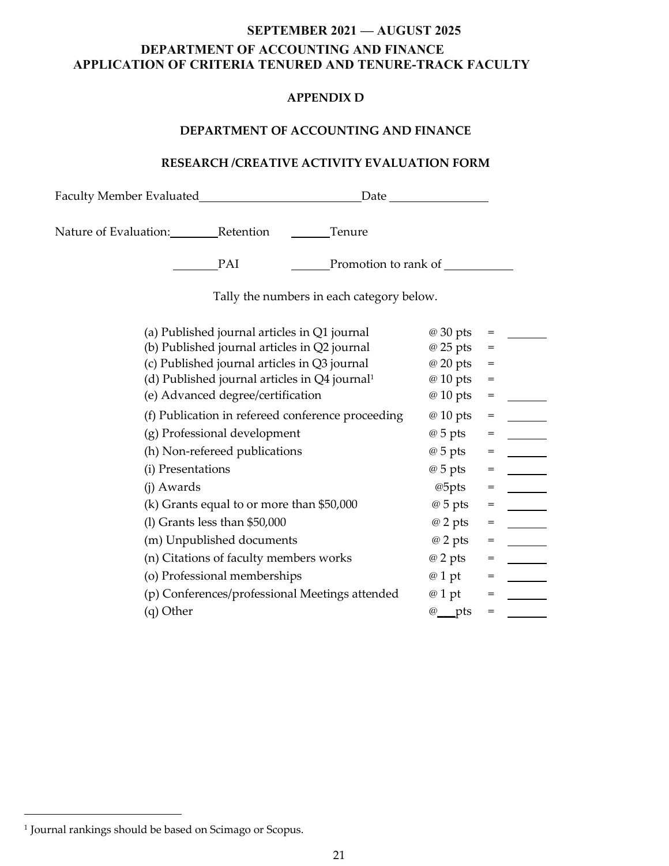#### **APPENDIX D**

#### **DEPARTMENT OF ACCOUNTING AND FINANCE**

### **RESEARCH /CREATIVE ACTIVITY EVALUATION FORM**

Faculty Member Evaluated Date Nature of Evaluation: Retention Chemical Tenure PAI Promotion to rank of

Tally the numbers in each category below.

| (a) Published journal articles in Q1 journal                | @ 30 pts       | $=$ |  |
|-------------------------------------------------------------|----------------|-----|--|
| (b) Published journal articles in Q2 journal                | @ 25 pts       | =   |  |
| (c) Published journal articles in Q3 journal                | @ 20 pts       | =   |  |
| (d) Published journal articles in $Q4$ journal <sup>1</sup> | @ 10 pts       | =   |  |
| (e) Advanced degree/certification                           | @ 10 pts       | $=$ |  |
| (f) Publication in refereed conference proceeding           | @ 10 pts       | $=$ |  |
| (g) Professional development                                | $@5$ pts       | $=$ |  |
| (h) Non-refereed publications                               | $@5$ pts       | $=$ |  |
| (i) Presentations                                           | $@5$ pts       | $=$ |  |
| (j) Awards                                                  | @5pts          | $=$ |  |
| (k) Grants equal to or more than \$50,000                   | $\omega$ 5 pts | $=$ |  |
| $(1)$ Grants less than \$50,000                             | $@2$ pts       | =   |  |
| (m) Unpublished documents                                   | @ 2 pts        | $=$ |  |
| (n) Citations of faculty members works                      | $@2$ pts       | $=$ |  |
| (o) Professional memberships                                | @ 1 pt         | $=$ |  |
| (p) Conferences/professional Meetings attended              | @ 1 pt         | $=$ |  |
| (q) Other                                                   | $\omega$ pts   | =   |  |

<u>.</u>

<sup>&</sup>lt;sup>1</sup> Journal rankings should be based on Scimago or Scopus.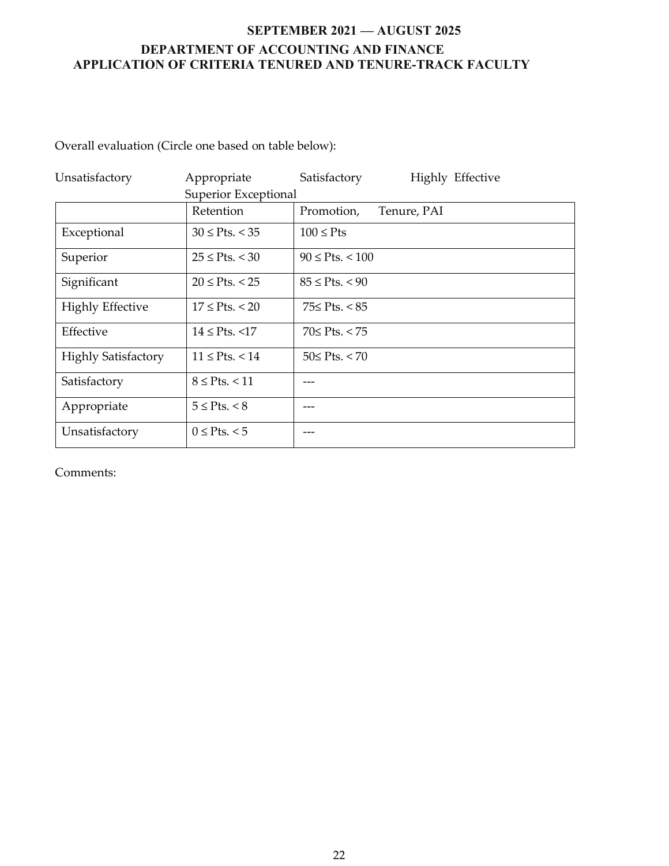Overall evaluation (Circle one based on table below):

| Unsatisfactory             | Appropriate           | Highly Effective<br>Satisfactory |  |  |
|----------------------------|-----------------------|----------------------------------|--|--|
| Superior Exceptional       |                       |                                  |  |  |
|                            | Retention             | Promotion,<br>Tenure, PAI        |  |  |
| Exceptional                | $30 \leq P$ ts. < 35  | $100 \leq P$ ts                  |  |  |
| Superior                   | $25 \le P$ ts. < 30   | $90 \leq P$ ts. < 100            |  |  |
| Significant                | $20 \le P$ ts. < 25   | $85 \le P$ ts. < 90              |  |  |
| <b>Highly Effective</b>    | $17 \le P$ ts. < 20   | 75≤ Pts. < 85                    |  |  |
| Effective                  | $14 \le P$ ts. <17    | 70≤ Pts. < 75                    |  |  |
| <b>Highly Satisfactory</b> | $11 \le P$ ts. < 14   | $50 \le P$ ts. < 70              |  |  |
| Satisfactory               | $8 \leq$ Pts. $< 11$  |                                  |  |  |
| Appropriate                | $5 \leq$ Pts. $\lt 8$ |                                  |  |  |
| Unsatisfactory             | $0 \leq P$ ts. < 5    |                                  |  |  |

Comments: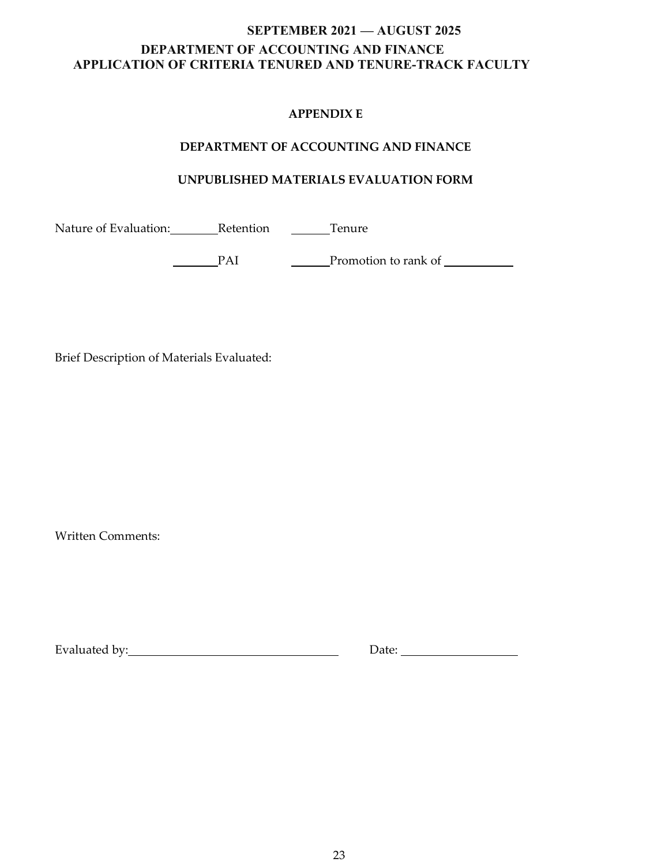### **APPENDIX E**

### **DEPARTMENT OF ACCOUNTING AND FINANCE**

### **UNPUBLISHED MATERIALS EVALUATION FORM**

Nature of Evaluation: Retention Chemical Tenure

PAI Promotion to rank of <u>Calledon Calledon Calledon Calledon Calledon Calledon Calledon Calledon Calledon Calledon Calledon Calledon Calledon Calledon Calledon Calledon Calledon Calledon Calledon Calledon Calledon Calledo</u>

Brief Description of Materials Evaluated:

Written Comments:

Evaluated by: Notice and Solid Books and Date: Note: Note: Note: Note: Note: Note: Note: Note: Note: Note: Note: Note: Note: Note: Note: Note: Note: Note: Note: Note: Note: Note: Note: Note: Note: Note: Note: Note: Note: N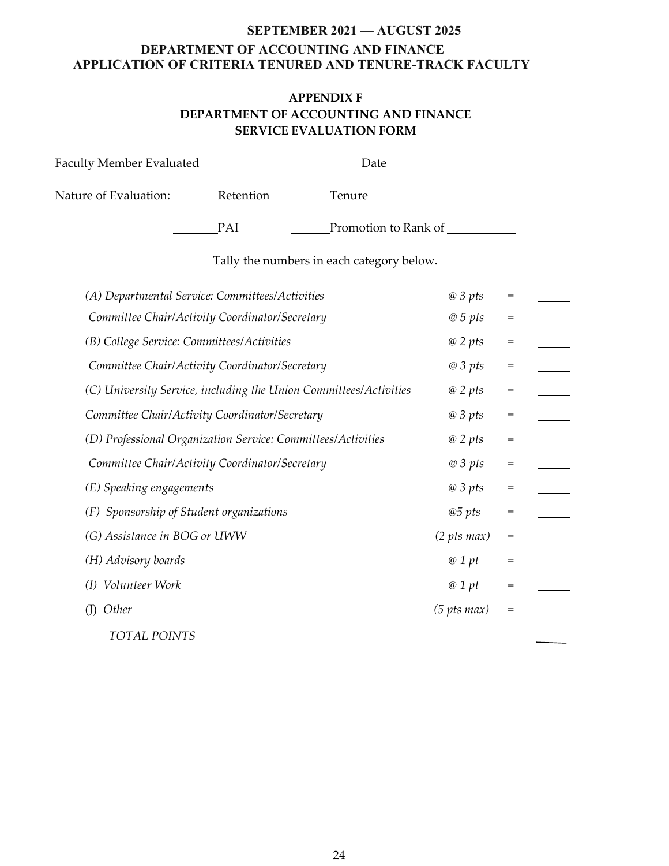### **APPENDIX F DEPARTMENT OF ACCOUNTING AND FINANCE SERVICE EVALUATION FORM**

|                                                                   |     | Date                                      |                     |     |  |
|-------------------------------------------------------------------|-----|-------------------------------------------|---------------------|-----|--|
| Nature of Evaluation: Retention                                   |     | Tenure                                    |                     |     |  |
|                                                                   | PAI | Promotion to Rank of                      |                     |     |  |
|                                                                   |     | Tally the numbers in each category below. |                     |     |  |
| (A) Departmental Service: Committees/Activities                   |     |                                           | @3pts               | $=$ |  |
| Committee Chair/Activity Coordinator/Secretary                    |     |                                           | @5pts               | $=$ |  |
| (B) College Service: Committees/Activities                        |     |                                           | $@$ 2 pts           | $=$ |  |
| Committee Chair/Activity Coordinator/Secretary                    |     |                                           | @3pts               | $=$ |  |
| (C) University Service, including the Union Committees/Activities |     |                                           | $@$ 2 pts           | $=$ |  |
| Committee Chair/Activity Coordinator/Secretary                    |     |                                           | @3pts               | $=$ |  |
| (D) Professional Organization Service: Committees/Activities      |     |                                           | $@$ 2 pts           | $=$ |  |
| Committee Chair/Activity Coordinator/Secretary                    |     |                                           | @3pts               | $=$ |  |
| (E) Speaking engagements                                          |     |                                           | @3pts               | $=$ |  |
| (F) Sponsorship of Student organizations                          |     |                                           | @5pts               | $=$ |  |
| (G) Assistance in BOG or UWW                                      |     |                                           | $(2 \, pts \, max)$ | $=$ |  |
| (H) Advisory boards                                               |     |                                           | @1pt                | $=$ |  |
| (I) Volunteer Work                                                |     |                                           | @1pt                | $=$ |  |
| $(I)$ Other                                                       |     |                                           | $(5 \, pts \, max)$ | $=$ |  |
| <b>TOTAL POINTS</b>                                               |     |                                           |                     |     |  |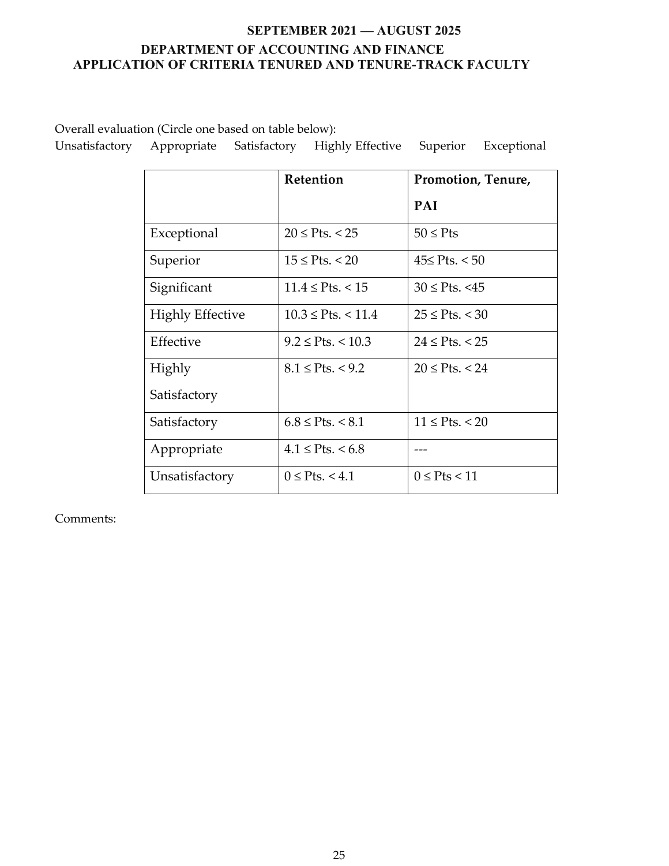Overall evaluation (Circle one based on table below):

|                         | Retention               | Promotion, Tenure,   |
|-------------------------|-------------------------|----------------------|
|                         |                         | <b>PAI</b>           |
| Exceptional             | $20 \le P$ ts. < 25     | $50 \leq P$ ts       |
| Superior                | $15 \leq$ Pts. < 20     | $45≤$ Pts. < 50      |
| Significant             | $11.4 \leq P$ ts. < 15  | $30 \le P$ ts. <45   |
| <b>Highly Effective</b> | $10.3 \leq$ Pts. < 11.4 | $25 \le P$ ts. < 30  |
| Effective               | $9.2 \leq$ Pts. < 10.3  | $24 \le P$ ts. < 25  |
| Highly                  | $8.1 \leq$ Pts. < 9.2   | $20 \le P$ ts. < 24  |
| Satisfactory            |                         |                      |
| Satisfactory            | $6.8 \leq$ Pts. < 8.1   | $11 \leq P$ ts. < 20 |
| Appropriate             | $4.1 \leq$ Pts. < 6.8   |                      |
| Unsatisfactory          | $0 \leq$ Pts. < 4.1     | $0 \leq P$ ts < 11   |

Unsatisfactory Appropriate Satisfactory Highly Effective Superior Exceptional

Comments: